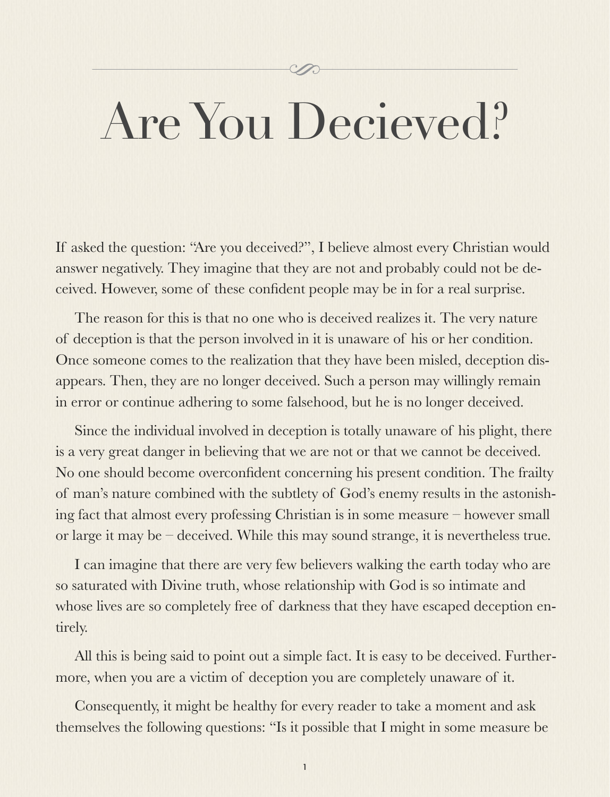# Y.

# Are You Decieved?

If asked the question: "Are you deceived?", I believe almost every Christian would answer negatively. They imagine that they are not and probably could not be deceived. However, some of these confident people may be in for a real surprise.

The reason for this is that no one who is deceived realizes it. The very nature of deception is that the person involved in it is unaware of his or her condition. Once someone comes to the realization that they have been misled, deception disappears. Then, they are no longer deceived. Such a person may willingly remain in error or continue adhering to some falsehood, but he is no longer deceived.

Since the individual involved in deception is totally unaware of his plight, there is a very great danger in believing that we are not or that we cannot be deceived. No one should become overconfident concerning his present condition. The frailty of man's nature combined with the subtlety of God's enemy results in the astonishing fact that almost every professing Christian is in some measure – however small or large it may be – deceived. While this may sound strange, it is nevertheless true.

I can imagine that there are very few believers walking the earth today who are so saturated with Divine truth, whose relationship with God is so intimate and whose lives are so completely free of darkness that they have escaped deception entirely.

All this is being said to point out a simple fact. It is easy to be deceived. Furthermore, when you are a victim of deception you are completely unaware of it.

Consequently, it might be healthy for every reader to take a moment and ask themselves the following questions: "Is it possible that I might in some measure be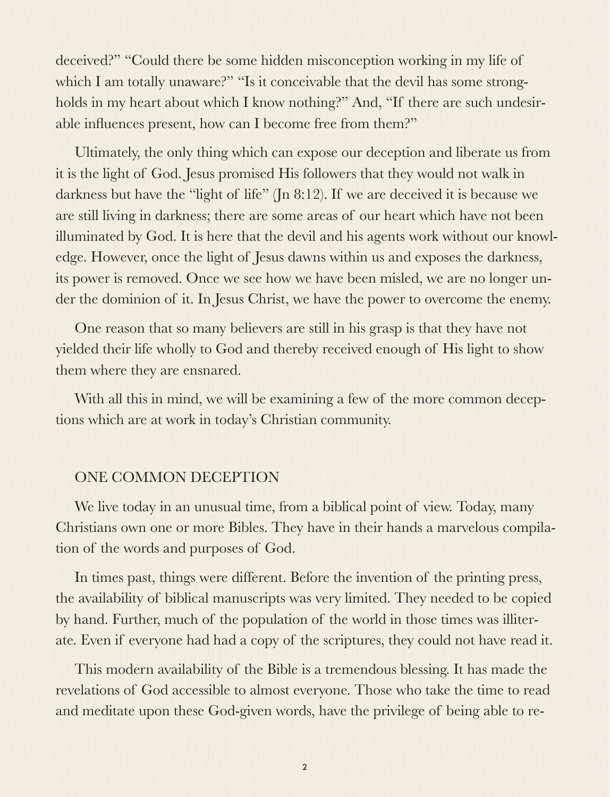deceived?" "Could there be some hidden misconception working in my life of which I am totally unaware?" "Is it conceivable that the devil has some strongholds in my heart about which I know nothing?" And, "If there are such undesirable influences present, how can I become free from them?"

Ultimately, the only thing which can expose our deception and liberate us from it is the light of God. Jesus promised His followers that they would not walk in darkness but have the "light of life" (Jn 8:12). If we are deceived it is because we are still living in darkness; there are some areas of our heart which have not been illuminated by God. It is here that the devil and his agents work without our knowledge. However, once the light of Jesus dawns within us and exposes the darkness, its power is removed. Once we see how we have been misled, we are no longer under the dominion of it. In Jesus Christ, we have the power to overcome the enemy.

One reason that so many believers are still in his grasp is that they have not yielded their life wholly to God and thereby received enough of His light to show them where they are ensnared.

With all this in mind, we will be examining a few of the more common deceptions which are at work in today's Christian community.

# ONE COMMON DECEPTION

We live today in an unusual time, from a biblical point of view. Today, many Christians own one or more Bibles. They have in their hands a marvelous compilation of the words and purposes of God.

In times past, things were different. Before the invention of the printing press, the availability of biblical manuscripts was very limited. They needed to be copied by hand. Further, much of the population of the world in those times was illiterate. Even if everyone had had a copy of the scriptures, they could not have read it.

This modern availability of the Bible is a tremendous blessing. It has made the revelations of God accessible to almost everyone. Those who take the time to read and meditate upon these God-given words, have the privilege of being able to re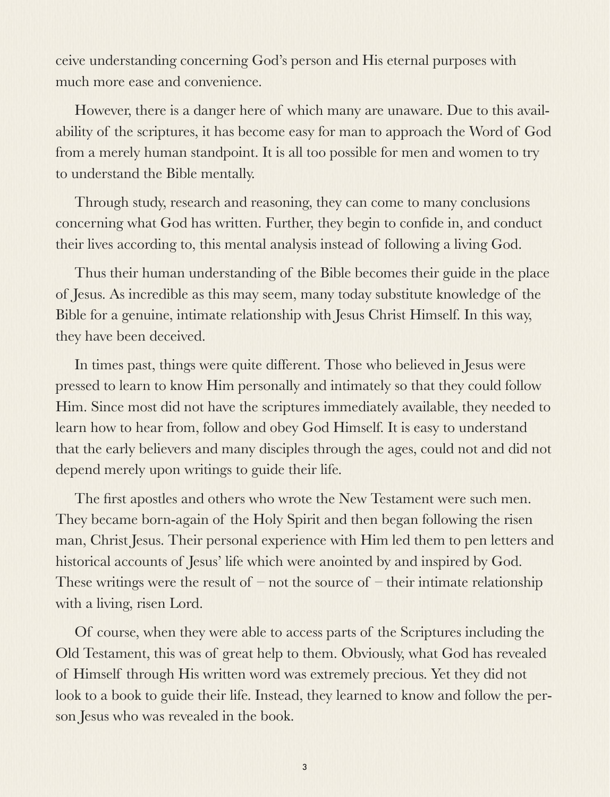ceive understanding concerning God's person and His eternal purposes with much more ease and convenience.

However, there is a danger here of which many are unaware. Due to this availability of the scriptures, it has become easy for man to approach the Word of God from a merely human standpoint. It is all too possible for men and women to try to understand the Bible mentally.

Through study, research and reasoning, they can come to many conclusions concerning what God has written. Further, they begin to confide in, and conduct their lives according to, this mental analysis instead of following a living God.

Thus their human understanding of the Bible becomes their guide in the place of Jesus. As incredible as this may seem, many today substitute knowledge of the Bible for a genuine, intimate relationship with Jesus Christ Himself. In this way, they have been deceived.

In times past, things were quite different. Those who believed in Jesus were pressed to learn to know Him personally and intimately so that they could follow Him. Since most did not have the scriptures immediately available, they needed to learn how to hear from, follow and obey God Himself. It is easy to understand that the early believers and many disciples through the ages, could not and did not depend merely upon writings to guide their life.

The first apostles and others who wrote the New Testament were such men. They became born-again of the Holy Spirit and then began following the risen man, Christ Jesus. Their personal experience with Him led them to pen letters and historical accounts of Jesus' life which were anointed by and inspired by God. These writings were the result of  $-$  not the source of  $-$  their intimate relationship with a living, risen Lord.

Of course, when they were able to access parts of the Scriptures including the Old Testament, this was of great help to them. Obviously, what God has revealed of Himself through His written word was extremely precious. Yet they did not look to a book to guide their life. Instead, they learned to know and follow the person Jesus who was revealed in the book.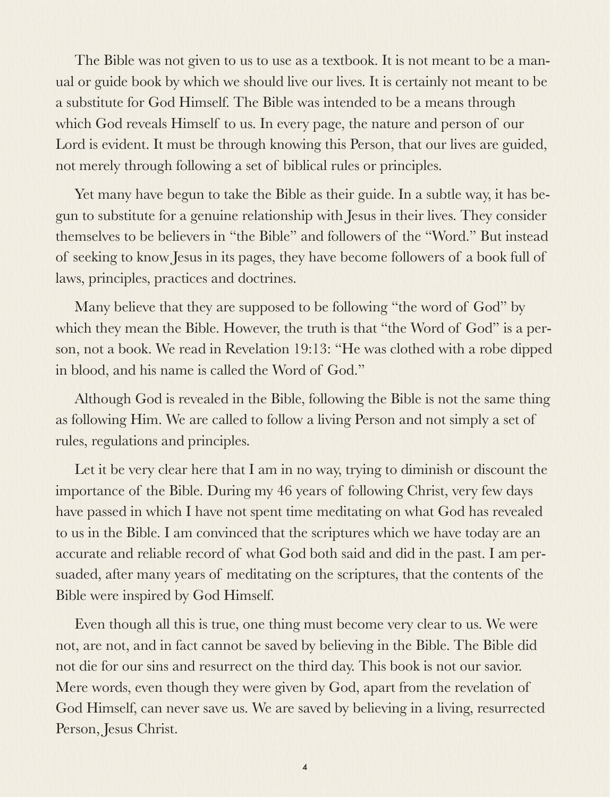The Bible was not given to us to use as a textbook. It is not meant to be a manual or guide book by which we should live our lives. It is certainly not meant to be a substitute for God Himself. The Bible was intended to be a means through which God reveals Himself to us. In every page, the nature and person of our Lord is evident. It must be through knowing this Person, that our lives are guided, not merely through following a set of biblical rules or principles.

Yet many have begun to take the Bible as their guide. In a subtle way, it has begun to substitute for a genuine relationship with Jesus in their lives. They consider themselves to be believers in "the Bible" and followers of the "Word." But instead of seeking to know Jesus in its pages, they have become followers of a book full of laws, principles, practices and doctrines.

Many believe that they are supposed to be following "the word of God" by which they mean the Bible. However, the truth is that "the Word of God" is a person, not a book. We read in Revelation 19:13: "He was clothed with a robe dipped in blood, and his name is called the Word of God."

Although God is revealed in the Bible, following the Bible is not the same thing as following Him. We are called to follow a living Person and not simply a set of rules, regulations and principles.

Let it be very clear here that I am in no way, trying to diminish or discount the importance of the Bible. During my 46 years of following Christ, very few days have passed in which I have not spent time meditating on what God has revealed to us in the Bible. I am convinced that the scriptures which we have today are an accurate and reliable record of what God both said and did in the past. I am persuaded, after many years of meditating on the scriptures, that the contents of the Bible were inspired by God Himself.

Even though all this is true, one thing must become very clear to us. We were not, are not, and in fact cannot be saved by believing in the Bible. The Bible did not die for our sins and resurrect on the third day. This book is not our savior. Mere words, even though they were given by God, apart from the revelation of God Himself, can never save us. We are saved by believing in a living, resurrected Person, Jesus Christ.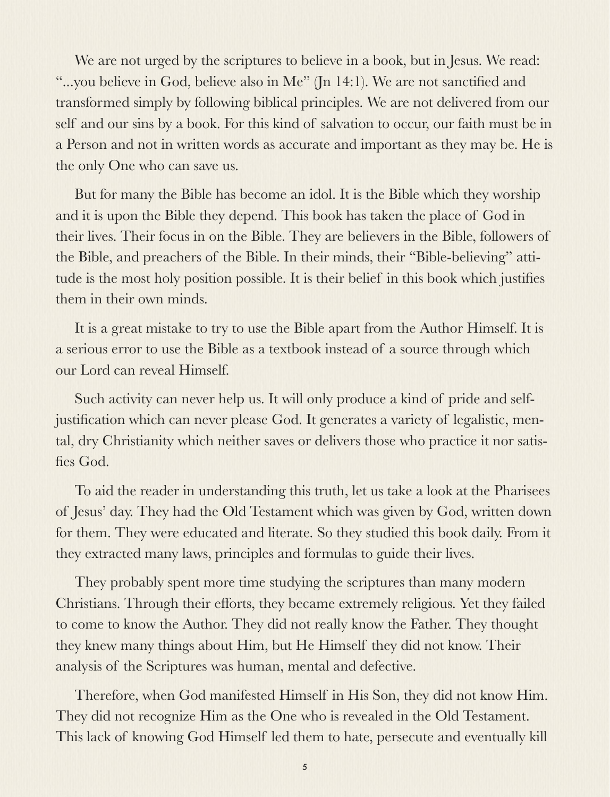We are not urged by the scriptures to believe in a book, but in Jesus. We read: "...you believe in God, believe also in Me" (Jn 14:1). We are not sanctified and transformed simply by following biblical principles. We are not delivered from our self and our sins by a book. For this kind of salvation to occur, our faith must be in a Person and not in written words as accurate and important as they may be. He is the only One who can save us.

But for many the Bible has become an idol. It is the Bible which they worship and it is upon the Bible they depend. This book has taken the place of God in their lives. Their focus in on the Bible. They are believers in the Bible, followers of the Bible, and preachers of the Bible. In their minds, their "Bible-believing" attitude is the most holy position possible. It is their belief in this book which justifies them in their own minds.

It is a great mistake to try to use the Bible apart from the Author Himself. It is a serious error to use the Bible as a textbook instead of a source through which our Lord can reveal Himself.

Such activity can never help us. It will only produce a kind of pride and selfjustification which can never please God. It generates a variety of legalistic, mental, dry Christianity which neither saves or delivers those who practice it nor satisfies God.

To aid the reader in understanding this truth, let us take a look at the Pharisees of Jesus' day. They had the Old Testament which was given by God, written down for them. They were educated and literate. So they studied this book daily. From it they extracted many laws, principles and formulas to guide their lives.

They probably spent more time studying the scriptures than many modern Christians. Through their efforts, they became extremely religious. Yet they failed to come to know the Author. They did not really know the Father. They thought they knew many things about Him, but He Himself they did not know. Their analysis of the Scriptures was human, mental and defective.

Therefore, when God manifested Himself in His Son, they did not know Him. They did not recognize Him as the One who is revealed in the Old Testament. This lack of knowing God Himself led them to hate, persecute and eventually kill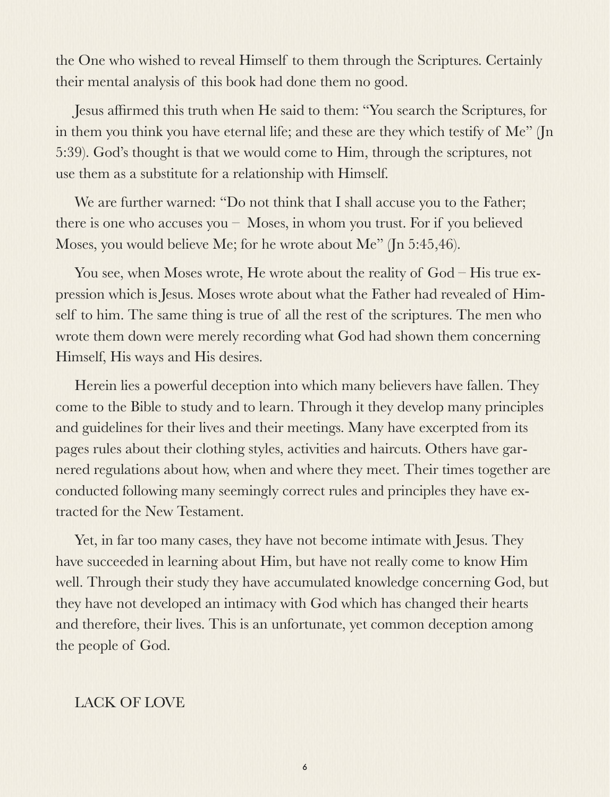the One who wished to reveal Himself to them through the Scriptures. Certainly their mental analysis of this book had done them no good.

Jesus affirmed this truth when He said to them: "You search the Scriptures, for in them you think you have eternal life; and these are they which testify of Me" (Jn 5:39). God's thought is that we would come to Him, through the scriptures, not use them as a substitute for a relationship with Himself.

We are further warned: "Do not think that I shall accuse you to the Father; there is one who accuses you – Moses, in whom you trust. For if you believed Moses, you would believe Me; for he wrote about Me" (Jn 5:45,46).

You see, when Moses wrote, He wrote about the reality of God – His true expression which is Jesus. Moses wrote about what the Father had revealed of Himself to him. The same thing is true of all the rest of the scriptures. The men who wrote them down were merely recording what God had shown them concerning Himself, His ways and His desires.

Herein lies a powerful deception into which many believers have fallen. They come to the Bible to study and to learn. Through it they develop many principles and guidelines for their lives and their meetings. Many have excerpted from its pages rules about their clothing styles, activities and haircuts. Others have garnered regulations about how, when and where they meet. Their times together are conducted following many seemingly correct rules and principles they have extracted for the New Testament.

Yet, in far too many cases, they have not become intimate with Jesus. They have succeeded in learning about Him, but have not really come to know Him well. Through their study they have accumulated knowledge concerning God, but they have not developed an intimacy with God which has changed their hearts and therefore, their lives. This is an unfortunate, yet common deception among the people of God.

# LACK OF LOVE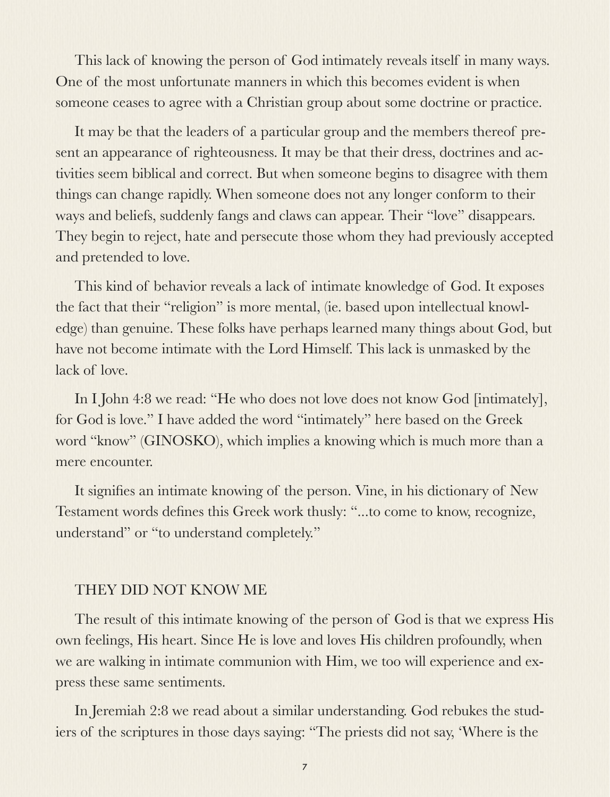This lack of knowing the person of God intimately reveals itself in many ways. One of the most unfortunate manners in which this becomes evident is when someone ceases to agree with a Christian group about some doctrine or practice.

It may be that the leaders of a particular group and the members thereof present an appearance of righteousness. It may be that their dress, doctrines and activities seem biblical and correct. But when someone begins to disagree with them things can change rapidly. When someone does not any longer conform to their ways and beliefs, suddenly fangs and claws can appear. Their "love" disappears. They begin to reject, hate and persecute those whom they had previously accepted and pretended to love.

This kind of behavior reveals a lack of intimate knowledge of God. It exposes the fact that their "religion" is more mental, (ie. based upon intellectual knowledge) than genuine. These folks have perhaps learned many things about God, but have not become intimate with the Lord Himself. This lack is unmasked by the lack of love.

In I John 4:8 we read: "He who does not love does not know God [intimately], for God is love." I have added the word "intimately" here based on the Greek word "know" (GINOSKO), which implies a knowing which is much more than a mere encounter.

It signifies an intimate knowing of the person. Vine, in his dictionary of New Testament words defines this Greek work thusly: "...to come to know, recognize, understand" or "to understand completely."

# THEY DID NOT KNOW ME

The result of this intimate knowing of the person of God is that we express His own feelings, His heart. Since He is love and loves His children profoundly, when we are walking in intimate communion with Him, we too will experience and express these same sentiments.

In Jeremiah 2:8 we read about a similar understanding. God rebukes the studiers of the scriptures in those days saying: "The priests did not say, 'Where is the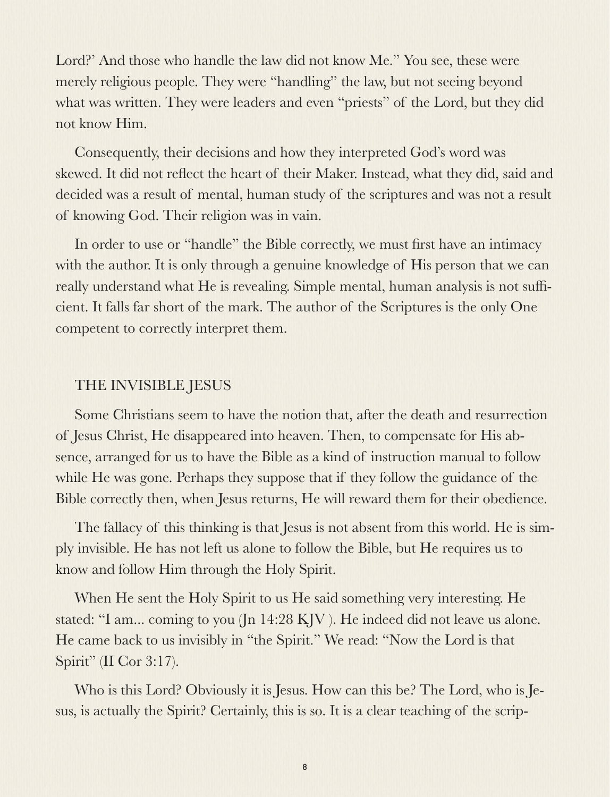Lord?' And those who handle the law did not know Me." You see, these were merely religious people. They were "handling" the law, but not seeing beyond what was written. They were leaders and even "priests" of the Lord, but they did not know Him.

Consequently, their decisions and how they interpreted God's word was skewed. It did not reflect the heart of their Maker. Instead, what they did, said and decided was a result of mental, human study of the scriptures and was not a result of knowing God. Their religion was in vain.

In order to use or "handle" the Bible correctly, we must first have an intimacy with the author. It is only through a genuine knowledge of His person that we can really understand what He is revealing. Simple mental, human analysis is not sufficient. It falls far short of the mark. The author of the Scriptures is the only One competent to correctly interpret them.

# THE INVISIBLE JESUS

Some Christians seem to have the notion that, after the death and resurrection of Jesus Christ, He disappeared into heaven. Then, to compensate for His absence, arranged for us to have the Bible as a kind of instruction manual to follow while He was gone. Perhaps they suppose that if they follow the guidance of the Bible correctly then, when Jesus returns, He will reward them for their obedience.

The fallacy of this thinking is that Jesus is not absent from this world. He is simply invisible. He has not left us alone to follow the Bible, but He requires us to know and follow Him through the Holy Spirit.

When He sent the Holy Spirit to us He said something very interesting. He stated: "I am... coming to you (Jn 14:28 KJV ). He indeed did not leave us alone. He came back to us invisibly in "the Spirit." We read: "Now the Lord is that Spirit" (II Cor 3:17).

Who is this Lord? Obviously it is Jesus. How can this be? The Lord, who is Jesus, is actually the Spirit? Certainly, this is so. It is a clear teaching of the scrip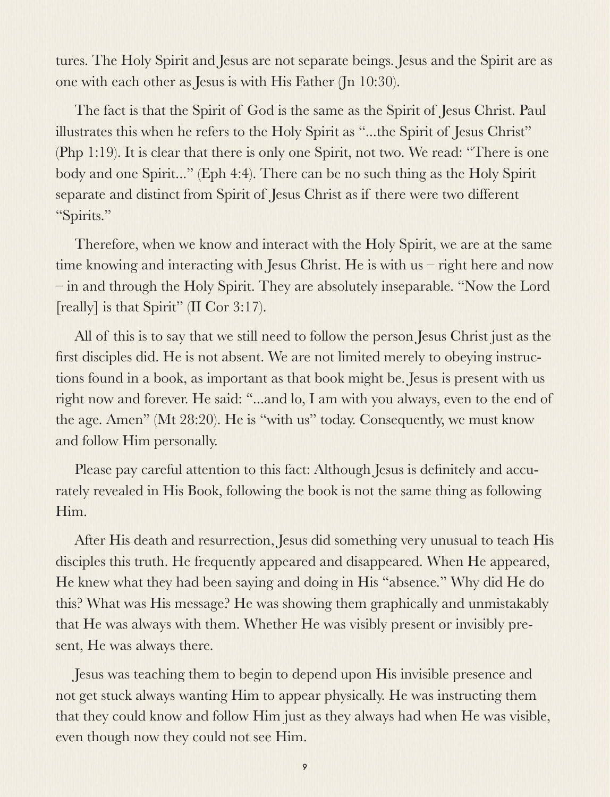tures. The Holy Spirit and Jesus are not separate beings. Jesus and the Spirit are as one with each other as Jesus is with His Father (Jn 10:30).

The fact is that the Spirit of God is the same as the Spirit of Jesus Christ. Paul illustrates this when he refers to the Holy Spirit as "...the Spirit of Jesus Christ" (Php 1:19). It is clear that there is only one Spirit, not two. We read: "There is one body and one Spirit..." (Eph 4:4). There can be no such thing as the Holy Spirit separate and distinct from Spirit of Jesus Christ as if there were two different "Spirits."

Therefore, when we know and interact with the Holy Spirit, we are at the same time knowing and interacting with Jesus Christ. He is with us – right here and now – in and through the Holy Spirit. They are absolutely inseparable. "Now the Lord [really] is that Spirit" (II Cor 3:17).

All of this is to say that we still need to follow the person Jesus Christ just as the first disciples did. He is not absent. We are not limited merely to obeying instructions found in a book, as important as that book might be. Jesus is present with us right now and forever. He said: "...and lo, I am with you always, even to the end of the age. Amen" (Mt 28:20). He is "with us" today. Consequently, we must know and follow Him personally.

Please pay careful attention to this fact: Although Jesus is definitely and accurately revealed in His Book, following the book is not the same thing as following Him.

After His death and resurrection, Jesus did something very unusual to teach His disciples this truth. He frequently appeared and disappeared. When He appeared, He knew what they had been saying and doing in His "absence." Why did He do this? What was His message? He was showing them graphically and unmistakably that He was always with them. Whether He was visibly present or invisibly present, He was always there.

Jesus was teaching them to begin to depend upon His invisible presence and not get stuck always wanting Him to appear physically. He was instructing them that they could know and follow Him just as they always had when He was visible, even though now they could not see Him.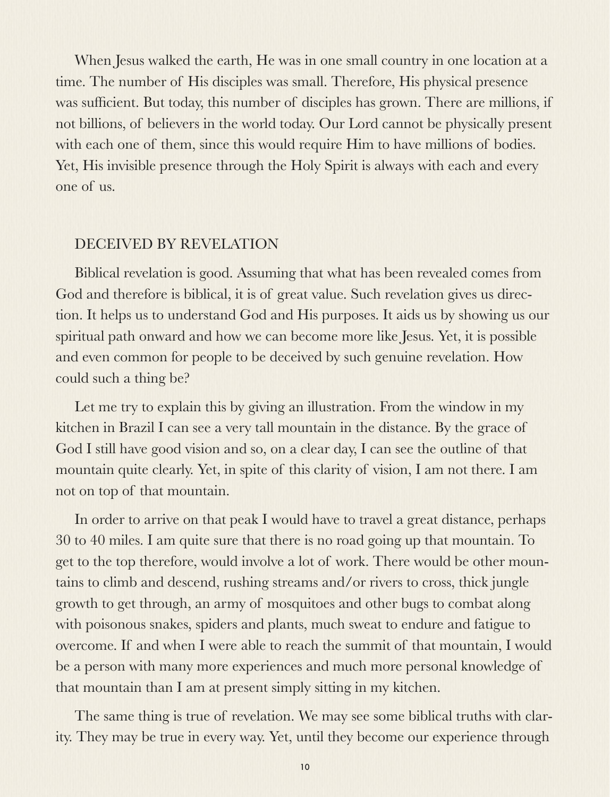When Jesus walked the earth, He was in one small country in one location at a time. The number of His disciples was small. Therefore, His physical presence was sufficient. But today, this number of disciples has grown. There are millions, if not billions, of believers in the world today. Our Lord cannot be physically present with each one of them, since this would require Him to have millions of bodies. Yet, His invisible presence through the Holy Spirit is always with each and every one of us.

#### DECEIVED BY REVELATION

Biblical revelation is good. Assuming that what has been revealed comes from God and therefore is biblical, it is of great value. Such revelation gives us direction. It helps us to understand God and His purposes. It aids us by showing us our spiritual path onward and how we can become more like Jesus. Yet, it is possible and even common for people to be deceived by such genuine revelation. How could such a thing be?

Let me try to explain this by giving an illustration. From the window in my kitchen in Brazil I can see a very tall mountain in the distance. By the grace of God I still have good vision and so, on a clear day, I can see the outline of that mountain quite clearly. Yet, in spite of this clarity of vision, I am not there. I am not on top of that mountain.

In order to arrive on that peak I would have to travel a great distance, perhaps 30 to 40 miles. I am quite sure that there is no road going up that mountain. To get to the top therefore, would involve a lot of work. There would be other mountains to climb and descend, rushing streams and/or rivers to cross, thick jungle growth to get through, an army of mosquitoes and other bugs to combat along with poisonous snakes, spiders and plants, much sweat to endure and fatigue to overcome. If and when I were able to reach the summit of that mountain, I would be a person with many more experiences and much more personal knowledge of that mountain than I am at present simply sitting in my kitchen.

The same thing is true of revelation. We may see some biblical truths with clarity. They may be true in every way. Yet, until they become our experience through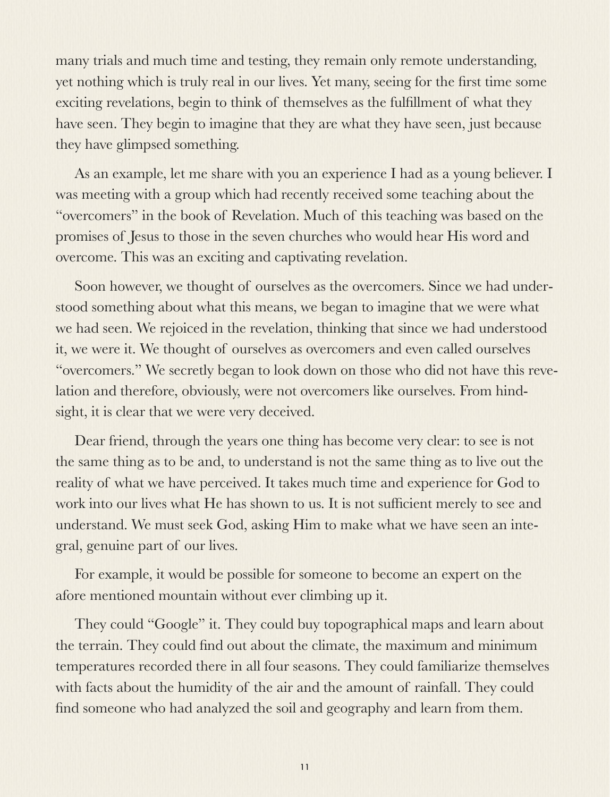many trials and much time and testing, they remain only remote understanding, yet nothing which is truly real in our lives. Yet many, seeing for the first time some exciting revelations, begin to think of themselves as the fulfillment of what they have seen. They begin to imagine that they are what they have seen, just because they have glimpsed something.

As an example, let me share with you an experience I had as a young believer. I was meeting with a group which had recently received some teaching about the "overcomers" in the book of Revelation. Much of this teaching was based on the promises of Jesus to those in the seven churches who would hear His word and overcome. This was an exciting and captivating revelation.

Soon however, we thought of ourselves as the overcomers. Since we had understood something about what this means, we began to imagine that we were what we had seen. We rejoiced in the revelation, thinking that since we had understood it, we were it. We thought of ourselves as overcomers and even called ourselves "overcomers." We secretly began to look down on those who did not have this revelation and therefore, obviously, were not overcomers like ourselves. From hindsight, it is clear that we were very deceived.

Dear friend, through the years one thing has become very clear: to see is not the same thing as to be and, to understand is not the same thing as to live out the reality of what we have perceived. It takes much time and experience for God to work into our lives what He has shown to us. It is not sufficient merely to see and understand. We must seek God, asking Him to make what we have seen an integral, genuine part of our lives.

For example, it would be possible for someone to become an expert on the afore mentioned mountain without ever climbing up it.

They could "Google" it. They could buy topographical maps and learn about the terrain. They could find out about the climate, the maximum and minimum temperatures recorded there in all four seasons. They could familiarize themselves with facts about the humidity of the air and the amount of rainfall. They could find someone who had analyzed the soil and geography and learn from them.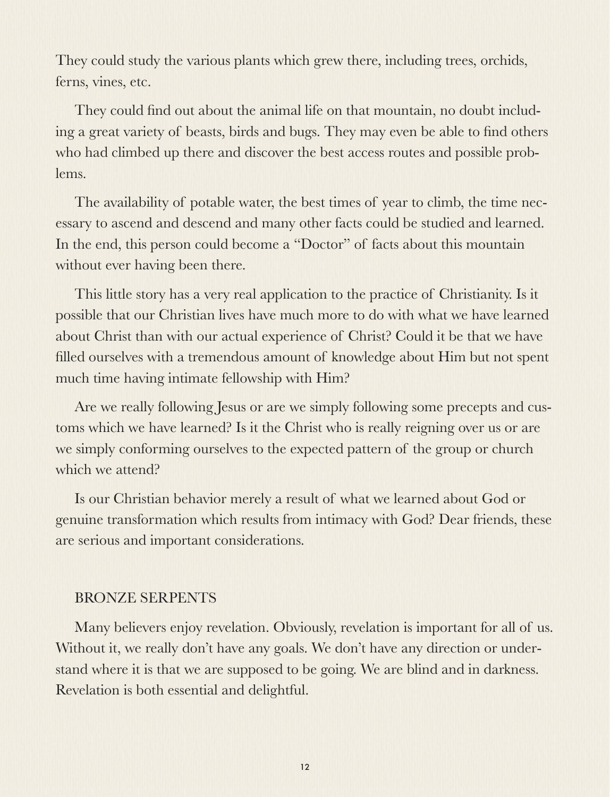They could study the various plants which grew there, including trees, orchids, ferns, vines, etc.

They could find out about the animal life on that mountain, no doubt including a great variety of beasts, birds and bugs. They may even be able to find others who had climbed up there and discover the best access routes and possible problems.

The availability of potable water, the best times of year to climb, the time necessary to ascend and descend and many other facts could be studied and learned. In the end, this person could become a "Doctor" of facts about this mountain without ever having been there.

This little story has a very real application to the practice of Christianity. Is it possible that our Christian lives have much more to do with what we have learned about Christ than with our actual experience of Christ? Could it be that we have filled ourselves with a tremendous amount of knowledge about Him but not spent much time having intimate fellowship with Him?

Are we really following Jesus or are we simply following some precepts and customs which we have learned? Is it the Christ who is really reigning over us or are we simply conforming ourselves to the expected pattern of the group or church which we attend?

Is our Christian behavior merely a result of what we learned about God or genuine transformation which results from intimacy with God? Dear friends, these are serious and important considerations.

# BRONZE SERPENTS

Many believers enjoy revelation. Obviously, revelation is important for all of us. Without it, we really don't have any goals. We don't have any direction or understand where it is that we are supposed to be going. We are blind and in darkness. Revelation is both essential and delightful.

12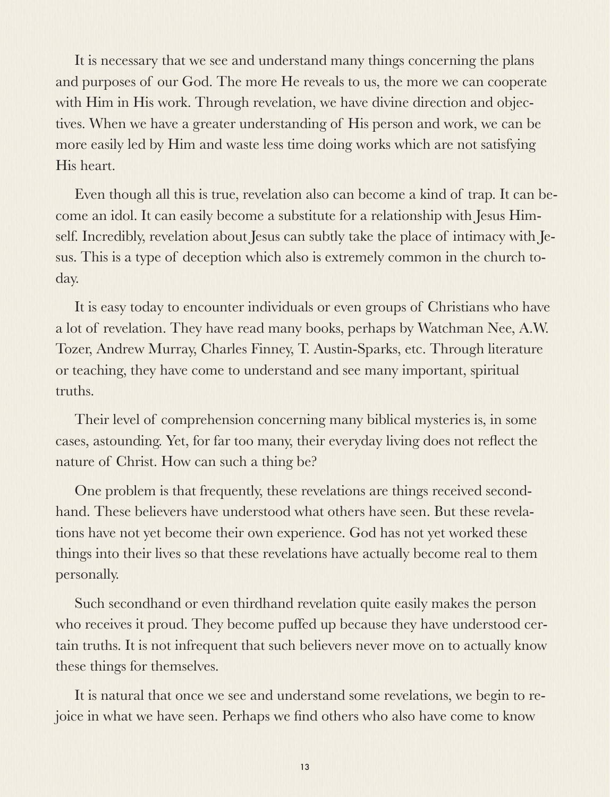It is necessary that we see and understand many things concerning the plans and purposes of our God. The more He reveals to us, the more we can cooperate with Him in His work. Through revelation, we have divine direction and objectives. When we have a greater understanding of His person and work, we can be more easily led by Him and waste less time doing works which are not satisfying His heart.

Even though all this is true, revelation also can become a kind of trap. It can become an idol. It can easily become a substitute for a relationship with Jesus Himself. Incredibly, revelation about Jesus can subtly take the place of intimacy with Jesus. This is a type of deception which also is extremely common in the church today.

It is easy today to encounter individuals or even groups of Christians who have a lot of revelation. They have read many books, perhaps by Watchman Nee, A.W. Tozer, Andrew Murray, Charles Finney, T. Austin-Sparks, etc. Through literature or teaching, they have come to understand and see many important, spiritual truths.

Their level of comprehension concerning many biblical mysteries is, in some cases, astounding. Yet, for far too many, their everyday living does not reflect the nature of Christ. How can such a thing be?

One problem is that frequently, these revelations are things received secondhand. These believers have understood what others have seen. But these revelations have not yet become their own experience. God has not yet worked these things into their lives so that these revelations have actually become real to them personally.

Such secondhand or even thirdhand revelation quite easily makes the person who receives it proud. They become puffed up because they have understood certain truths. It is not infrequent that such believers never move on to actually know these things for themselves.

It is natural that once we see and understand some revelations, we begin to rejoice in what we have seen. Perhaps we find others who also have come to know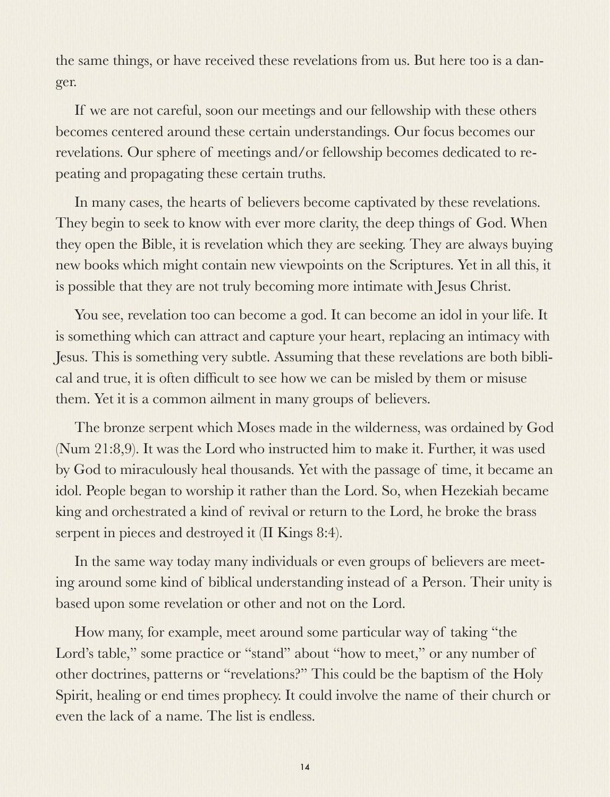the same things, or have received these revelations from us. But here too is a danger.

If we are not careful, soon our meetings and our fellowship with these others becomes centered around these certain understandings. Our focus becomes our revelations. Our sphere of meetings and/or fellowship becomes dedicated to repeating and propagating these certain truths.

In many cases, the hearts of believers become captivated by these revelations. They begin to seek to know with ever more clarity, the deep things of God. When they open the Bible, it is revelation which they are seeking. They are always buying new books which might contain new viewpoints on the Scriptures. Yet in all this, it is possible that they are not truly becoming more intimate with Jesus Christ.

You see, revelation too can become a god. It can become an idol in your life. It is something which can attract and capture your heart, replacing an intimacy with Jesus. This is something very subtle. Assuming that these revelations are both biblical and true, it is often difficult to see how we can be misled by them or misuse them. Yet it is a common ailment in many groups of believers.

The bronze serpent which Moses made in the wilderness, was ordained by God (Num 21:8,9). It was the Lord who instructed him to make it. Further, it was used by God to miraculously heal thousands. Yet with the passage of time, it became an idol. People began to worship it rather than the Lord. So, when Hezekiah became king and orchestrated a kind of revival or return to the Lord, he broke the brass serpent in pieces and destroyed it (II Kings 8:4).

In the same way today many individuals or even groups of believers are meeting around some kind of biblical understanding instead of a Person. Their unity is based upon some revelation or other and not on the Lord.

How many, for example, meet around some particular way of taking "the Lord's table," some practice or "stand" about "how to meet," or any number of other doctrines, patterns or "revelations?" This could be the baptism of the Holy Spirit, healing or end times prophecy. It could involve the name of their church or even the lack of a name. The list is endless.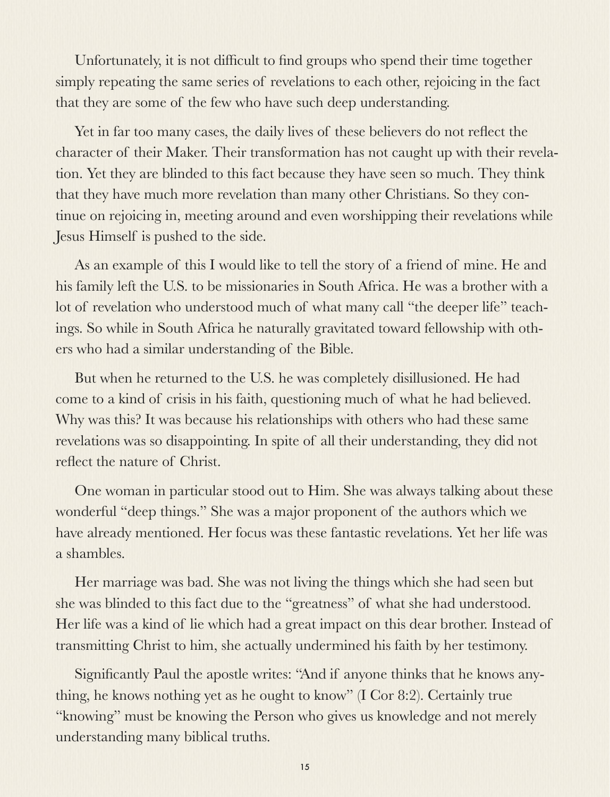Unfortunately, it is not difficult to find groups who spend their time together simply repeating the same series of revelations to each other, rejoicing in the fact that they are some of the few who have such deep understanding.

Yet in far too many cases, the daily lives of these believers do not reflect the character of their Maker. Their transformation has not caught up with their revelation. Yet they are blinded to this fact because they have seen so much. They think that they have much more revelation than many other Christians. So they continue on rejoicing in, meeting around and even worshipping their revelations while Jesus Himself is pushed to the side.

As an example of this I would like to tell the story of a friend of mine. He and his family left the U.S. to be missionaries in South Africa. He was a brother with a lot of revelation who understood much of what many call "the deeper life" teachings. So while in South Africa he naturally gravitated toward fellowship with others who had a similar understanding of the Bible.

But when he returned to the U.S. he was completely disillusioned. He had come to a kind of crisis in his faith, questioning much of what he had believed. Why was this? It was because his relationships with others who had these same revelations was so disappointing. In spite of all their understanding, they did not reflect the nature of Christ.

One woman in particular stood out to Him. She was always talking about these wonderful "deep things." She was a major proponent of the authors which we have already mentioned. Her focus was these fantastic revelations. Yet her life was a shambles.

Her marriage was bad. She was not living the things which she had seen but she was blinded to this fact due to the "greatness" of what she had understood. Her life was a kind of lie which had a great impact on this dear brother. Instead of transmitting Christ to him, she actually undermined his faith by her testimony.

Significantly Paul the apostle writes: "And if anyone thinks that he knows anything, he knows nothing yet as he ought to know" (I Cor 8:2). Certainly true "knowing" must be knowing the Person who gives us knowledge and not merely understanding many biblical truths.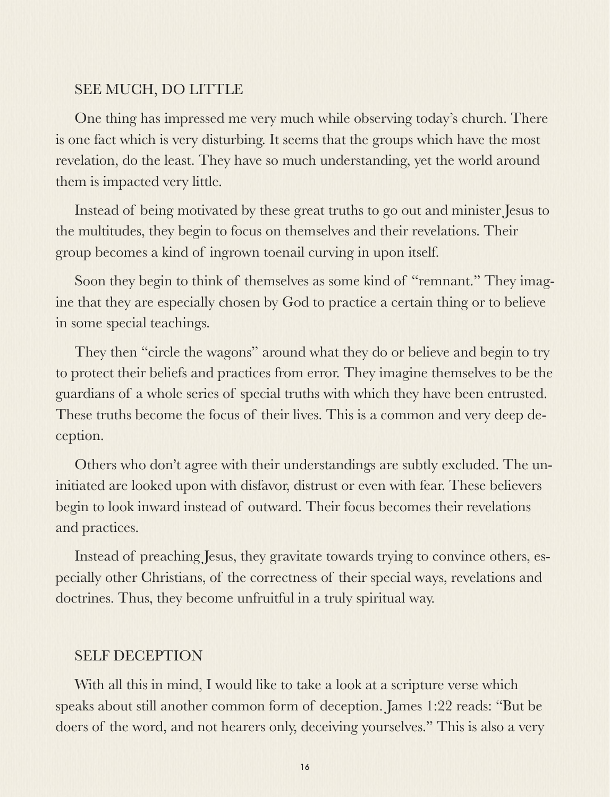# SEE MUCH, DO LITTLE

One thing has impressed me very much while observing today's church. There is one fact which is very disturbing. It seems that the groups which have the most revelation, do the least. They have so much understanding, yet the world around them is impacted very little.

Instead of being motivated by these great truths to go out and minister Jesus to the multitudes, they begin to focus on themselves and their revelations. Their group becomes a kind of ingrown toenail curving in upon itself.

Soon they begin to think of themselves as some kind of "remnant." They imagine that they are especially chosen by God to practice a certain thing or to believe in some special teachings.

They then "circle the wagons" around what they do or believe and begin to try to protect their beliefs and practices from error. They imagine themselves to be the guardians of a whole series of special truths with which they have been entrusted. These truths become the focus of their lives. This is a common and very deep deception.

Others who don't agree with their understandings are subtly excluded. The uninitiated are looked upon with disfavor, distrust or even with fear. These believers begin to look inward instead of outward. Their focus becomes their revelations and practices.

Instead of preaching Jesus, they gravitate towards trying to convince others, especially other Christians, of the correctness of their special ways, revelations and doctrines. Thus, they become unfruitful in a truly spiritual way.

# SELF DECEPTION

With all this in mind, I would like to take a look at a scripture verse which speaks about still another common form of deception. James 1:22 reads: "But be doers of the word, and not hearers only, deceiving yourselves." This is also a very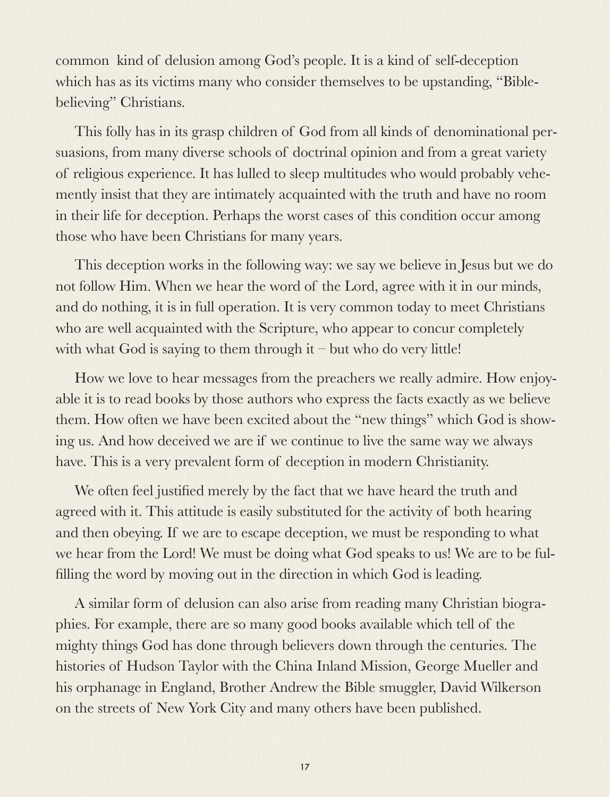common kind of delusion among God's people. It is a kind of self-deception which has as its victims many who consider themselves to be upstanding, "Biblebelieving" Christians.

This folly has in its grasp children of God from all kinds of denominational persuasions, from many diverse schools of doctrinal opinion and from a great variety of religious experience. It has lulled to sleep multitudes who would probably vehemently insist that they are intimately acquainted with the truth and have no room in their life for deception. Perhaps the worst cases of this condition occur among those who have been Christians for many years.

This deception works in the following way: we say we believe in Jesus but we do not follow Him. When we hear the word of the Lord, agree with it in our minds, and do nothing, it is in full operation. It is very common today to meet Christians who are well acquainted with the Scripture, who appear to concur completely with what God is saying to them through it – but who do very little!

How we love to hear messages from the preachers we really admire. How enjoyable it is to read books by those authors who express the facts exactly as we believe them. How often we have been excited about the "new things" which God is showing us. And how deceived we are if we continue to live the same way we always have. This is a very prevalent form of deception in modern Christianity.

We often feel justified merely by the fact that we have heard the truth and agreed with it. This attitude is easily substituted for the activity of both hearing and then obeying. If we are to escape deception, we must be responding to what we hear from the Lord! We must be doing what God speaks to us! We are to be fulfilling the word by moving out in the direction in which God is leading.

A similar form of delusion can also arise from reading many Christian biographies. For example, there are so many good books available which tell of the mighty things God has done through believers down through the centuries. The histories of Hudson Taylor with the China Inland Mission, George Mueller and his orphanage in England, Brother Andrew the Bible smuggler, David Wilkerson on the streets of New York City and many others have been published.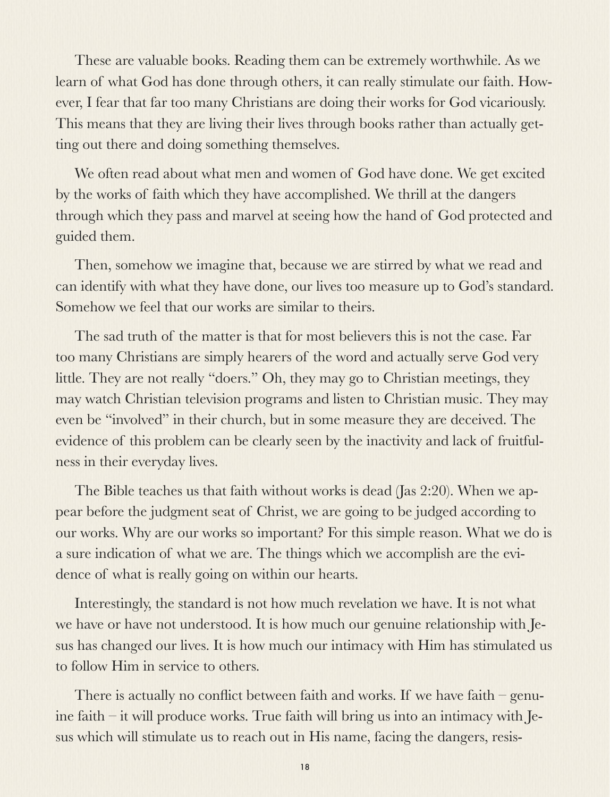These are valuable books. Reading them can be extremely worthwhile. As we learn of what God has done through others, it can really stimulate our faith. However, I fear that far too many Christians are doing their works for God vicariously. This means that they are living their lives through books rather than actually getting out there and doing something themselves.

We often read about what men and women of God have done. We get excited by the works of faith which they have accomplished. We thrill at the dangers through which they pass and marvel at seeing how the hand of God protected and guided them.

Then, somehow we imagine that, because we are stirred by what we read and can identify with what they have done, our lives too measure up to God's standard. Somehow we feel that our works are similar to theirs.

The sad truth of the matter is that for most believers this is not the case. Far too many Christians are simply hearers of the word and actually serve God very little. They are not really "doers." Oh, they may go to Christian meetings, they may watch Christian television programs and listen to Christian music. They may even be "involved" in their church, but in some measure they are deceived. The evidence of this problem can be clearly seen by the inactivity and lack of fruitfulness in their everyday lives.

The Bible teaches us that faith without works is dead (Jas 2:20). When we appear before the judgment seat of Christ, we are going to be judged according to our works. Why are our works so important? For this simple reason. What we do is a sure indication of what we are. The things which we accomplish are the evidence of what is really going on within our hearts.

Interestingly, the standard is not how much revelation we have. It is not what we have or have not understood. It is how much our genuine relationship with Jesus has changed our lives. It is how much our intimacy with Him has stimulated us to follow Him in service to others.

There is actually no conflict between faith and works. If we have faith – genuine faith – it will produce works. True faith will bring us into an intimacy with Jesus which will stimulate us to reach out in His name, facing the dangers, resis-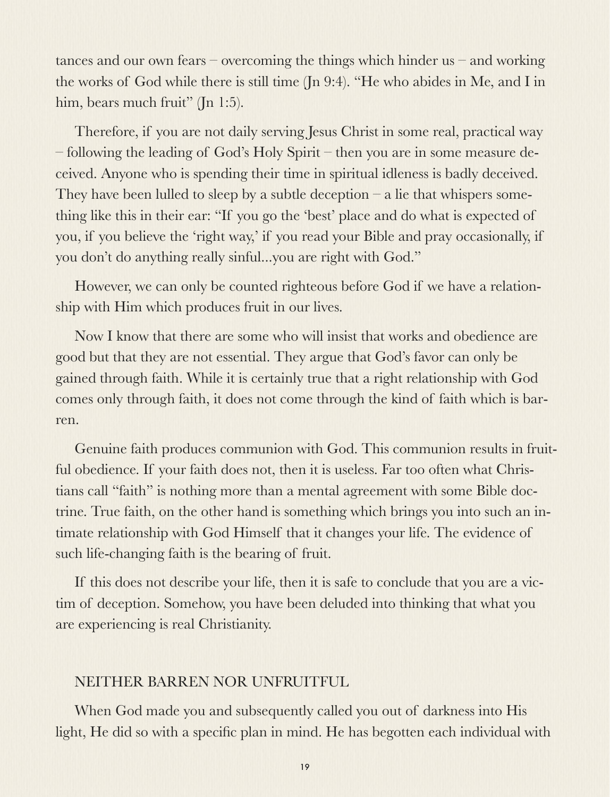tances and our own fears – overcoming the things which hinder us – and working the works of God while there is still time (Jn 9:4). "He who abides in Me, and I in him, bears much fruit" (In 1:5).

Therefore, if you are not daily serving Jesus Christ in some real, practical way – following the leading of God's Holy Spirit – then you are in some measure deceived. Anyone who is spending their time in spiritual idleness is badly deceived. They have been lulled to sleep by a subtle deception  $-$  a lie that whispers something like this in their ear: "If you go the 'best' place and do what is expected of you, if you believe the 'right way,' if you read your Bible and pray occasionally, if you don't do anything really sinful...you are right with God."

However, we can only be counted righteous before God if we have a relationship with Him which produces fruit in our lives.

Now I know that there are some who will insist that works and obedience are good but that they are not essential. They argue that God's favor can only be gained through faith. While it is certainly true that a right relationship with God comes only through faith, it does not come through the kind of faith which is barren.

Genuine faith produces communion with God. This communion results in fruitful obedience. If your faith does not, then it is useless. Far too often what Christians call "faith" is nothing more than a mental agreement with some Bible doctrine. True faith, on the other hand is something which brings you into such an intimate relationship with God Himself that it changes your life. The evidence of such life-changing faith is the bearing of fruit.

If this does not describe your life, then it is safe to conclude that you are a victim of deception. Somehow, you have been deluded into thinking that what you are experiencing is real Christianity.

# NEITHER BARREN NOR UNFRUITFUL

When God made you and subsequently called you out of darkness into His light, He did so with a specific plan in mind. He has begotten each individual with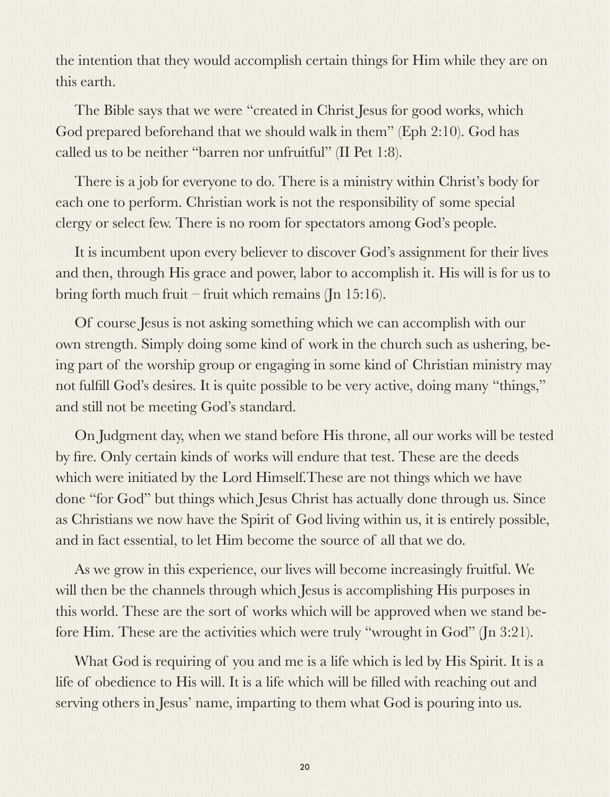the intention that they would accomplish certain things for Him while they are on this earth.

The Bible says that we were "created in Christ Jesus for good works, which God prepared beforehand that we should walk in them" (Eph 2:10). God has called us to be neither "barren nor unfruitful" (II Pet 1:8).

There is a job for everyone to do. There is a ministry within Christ's body for each one to perform. Christian work is not the responsibility of some special clergy or select few. There is no room for spectators among God's people.

It is incumbent upon every believer to discover God's assignment for their lives and then, through His grace and power, labor to accomplish it. His will is for us to bring forth much fruit – fruit which remains (Jn 15:16).

Of course Jesus is not asking something which we can accomplish with our own strength. Simply doing some kind of work in the church such as ushering, being part of the worship group or engaging in some kind of Christian ministry may not fulfill God's desires. It is quite possible to be very active, doing many "things," and still not be meeting God's standard.

On Judgment day, when we stand before His throne, all our works will be tested by fire. Only certain kinds of works will endure that test. These are the deeds which were initiated by the Lord Himself.These are not things which we have done "for God" but things which Jesus Christ has actually done through us. Since as Christians we now have the Spirit of God living within us, it is entirely possible, and in fact essential, to let Him become the source of all that we do.

As we grow in this experience, our lives will become increasingly fruitful. We will then be the channels through which Jesus is accomplishing His purposes in this world. These are the sort of works which will be approved when we stand before Him. These are the activities which were truly "wrought in God" (Jn 3:21).

What God is requiring of you and me is a life which is led by His Spirit. It is a life of obedience to His will. It is a life which will be filled with reaching out and serving others in Jesus' name, imparting to them what God is pouring into us.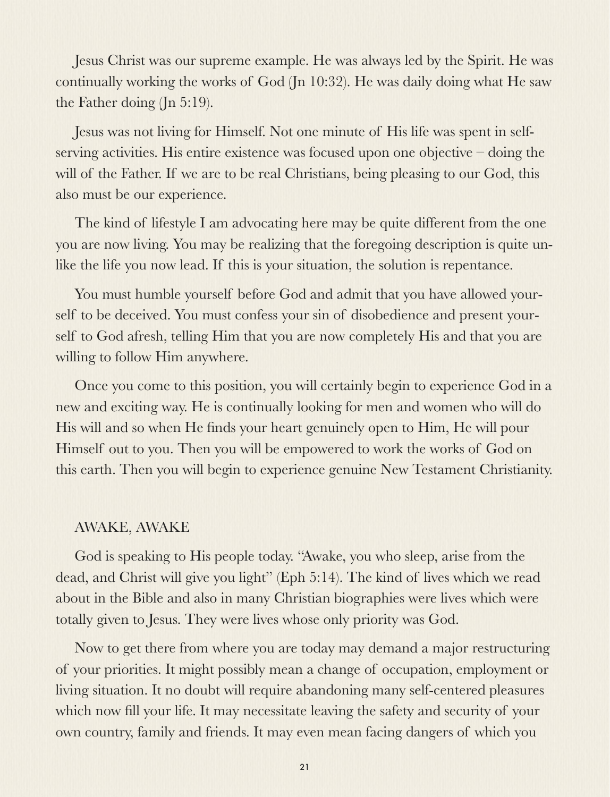Jesus Christ was our supreme example. He was always led by the Spirit. He was continually working the works of God (Jn 10:32). He was daily doing what He saw the Father doing (Jn 5:19).

Jesus was not living for Himself. Not one minute of His life was spent in selfserving activities. His entire existence was focused upon one objective – doing the will of the Father. If we are to be real Christians, being pleasing to our God, this also must be our experience.

The kind of lifestyle I am advocating here may be quite different from the one you are now living. You may be realizing that the foregoing description is quite unlike the life you now lead. If this is your situation, the solution is repentance.

You must humble yourself before God and admit that you have allowed yourself to be deceived. You must confess your sin of disobedience and present yourself to God afresh, telling Him that you are now completely His and that you are willing to follow Him anywhere.

Once you come to this position, you will certainly begin to experience God in a new and exciting way. He is continually looking for men and women who will do His will and so when He finds your heart genuinely open to Him, He will pour Himself out to you. Then you will be empowered to work the works of God on this earth. Then you will begin to experience genuine New Testament Christianity.

#### AWAKE, AWAKE

God is speaking to His people today. "Awake, you who sleep, arise from the dead, and Christ will give you light" (Eph 5:14). The kind of lives which we read about in the Bible and also in many Christian biographies were lives which were totally given to Jesus. They were lives whose only priority was God.

Now to get there from where you are today may demand a major restructuring of your priorities. It might possibly mean a change of occupation, employment or living situation. It no doubt will require abandoning many self-centered pleasures which now fill your life. It may necessitate leaving the safety and security of your own country, family and friends. It may even mean facing dangers of which you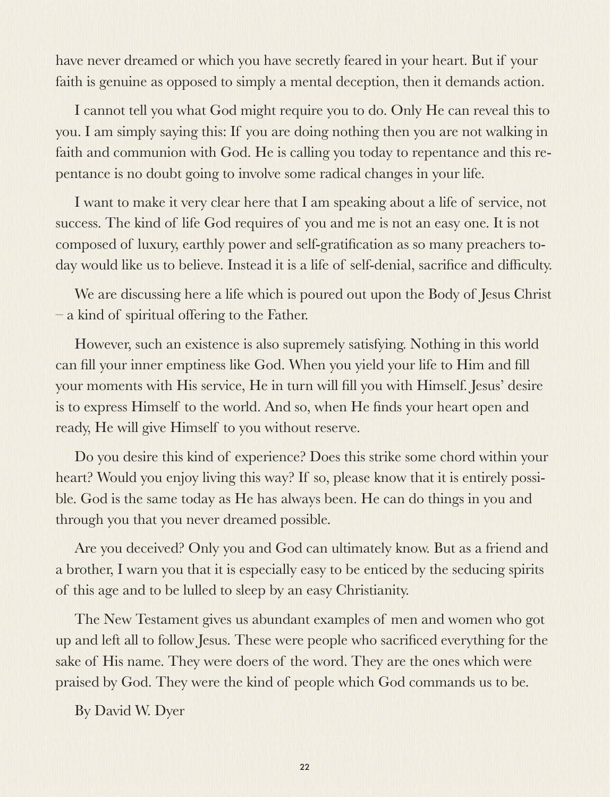have never dreamed or which you have secretly feared in your heart. But if your faith is genuine as opposed to simply a mental deception, then it demands action.

I cannot tell you what God might require you to do. Only He can reveal this to you. I am simply saying this: If you are doing nothing then you are not walking in faith and communion with God. He is calling you today to repentance and this repentance is no doubt going to involve some radical changes in your life.

I want to make it very clear here that I am speaking about a life of service, not success. The kind of life God requires of you and me is not an easy one. It is not composed of luxury, earthly power and self-gratification as so many preachers today would like us to believe. Instead it is a life of self-denial, sacrifice and difficulty.

We are discussing here a life which is poured out upon the Body of Jesus Christ – a kind of spiritual offering to the Father.

However, such an existence is also supremely satisfying. Nothing in this world can fill your inner emptiness like God. When you yield your life to Him and fill your moments with His service, He in turn will fill you with Himself. Jesus' desire is to express Himself to the world. And so, when He finds your heart open and ready, He will give Himself to you without reserve.

Do you desire this kind of experience? Does this strike some chord within your heart? Would you enjoy living this way? If so, please know that it is entirely possible. God is the same today as He has always been. He can do things in you and through you that you never dreamed possible.

Are you deceived? Only you and God can ultimately know. But as a friend and a brother, I warn you that it is especially easy to be enticed by the seducing spirits of this age and to be lulled to sleep by an easy Christianity.

The New Testament gives us abundant examples of men and women who got up and left all to follow Jesus. These were people who sacrificed everything for the sake of His name. They were doers of the word. They are the ones which were praised by God. They were the kind of people which God commands us to be.

By David W. Dyer